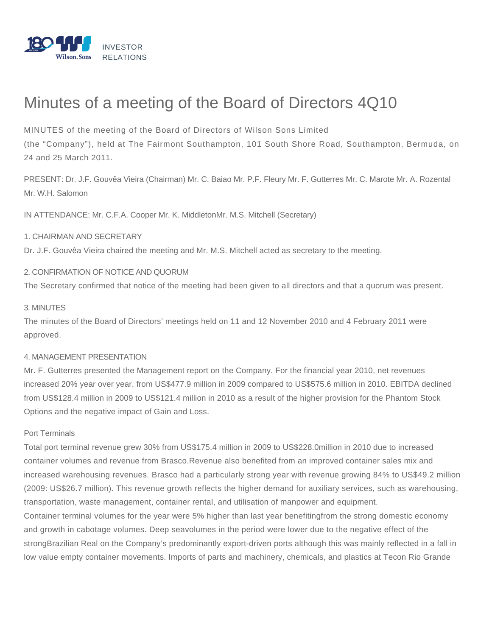

# Minutes of a meeting of the Board of Directors 4Q10

MINUTES of the meeting of the Board of Directors of Wilson Sons Limited

(the "Company"), held at The Fairmont Southampton, 101 South Shore Road, Southampton, Bermuda, on 24 and 25 March 2011.

PRESENT: Dr. J.F. Gouvêa Vieira (Chairman) Mr. C. Baiao Mr. P.F. Fleury Mr. F. Gutterres Mr. C. Marote Mr. A. Rozental Mr. W.H. Salomon

IN ATTENDANCE: Mr. C.F.A. Cooper Mr. K. MiddletonMr. M.S. Mitchell (Secretary)

# 1. CHAIRMAN AND SECRETARY

Dr. J.F. Gouvêa Vieira chaired the meeting and Mr. M.S. Mitchell acted as secretary to the meeting.

2. CONFIRMATION OF NOTICE AND QUORUM

The Secretary confirmed that notice of the meeting had been given to all directors and that a quorum was present.

# 3. MINUTES

The minutes of the Board of Directors' meetings held on 11 and 12 November 2010 and 4 February 2011 were approved.

# 4. MANAGEMENT PRESENTATION

Mr. F. Gutterres presented the Management report on the Company. For the financial year 2010, net revenues increased 20% year over year, from US\$477.9 million in 2009 compared to US\$575.6 million in 2010. EBITDA declined from US\$128.4 million in 2009 to US\$121.4 million in 2010 as a result of the higher provision for the Phantom Stock Options and the negative impact of Gain and Loss.

# Port Terminals

Total port terminal revenue grew 30% from US\$175.4 million in 2009 to US\$228.0million in 2010 due to increased container volumes and revenue from Brasco.Revenue also benefited from an improved container sales mix and increased warehousing revenues. Brasco had a particularly strong year with revenue growing 84% to US\$49.2 million (2009: US\$26.7 million). This revenue growth reflects the higher demand for auxiliary services, such as warehousing, transportation, waste management, container rental, and utilisation of manpower and equipment. Container terminal volumes for the year were 5% higher than last year benefitingfrom the strong domestic economy and growth in cabotage volumes. Deep seavolumes in the period were lower due to the negative effect of the

strongBrazilian Real on the Company's predominantly export-driven ports although this was mainly reflected in a fall in low value empty container movements. Imports of parts and machinery, chemicals, and plastics at Tecon Rio Grande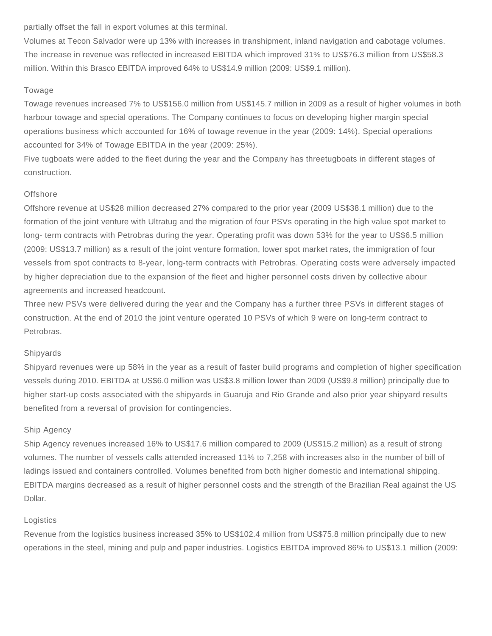partially offset the fall in export volumes at this terminal.

Volumes at Tecon Salvador were up 13% with increases in transhipment, inland navigation and cabotage volumes. The increase in revenue was reflected in increased EBITDA which improved 31% to US\$76.3 million from US\$58.3 million. Within this Brasco EBITDA improved 64% to US\$14.9 million (2009: US\$9.1 million).

#### Towage

Towage revenues increased 7% to US\$156.0 million from US\$145.7 million in 2009 as a result of higher volumes in both harbour towage and special operations. The Company continues to focus on developing higher margin special operations business which accounted for 16% of towage revenue in the year (2009: 14%). Special operations accounted for 34% of Towage EBITDA in the year (2009: 25%).

Five tugboats were added to the fleet during the year and the Company has threetugboats in different stages of construction.

#### **Offshore**

Offshore revenue at US\$28 million decreased 27% compared to the prior year (2009 US\$38.1 million) due to the formation of the joint venture with Ultratug and the migration of four PSVs operating in the high value spot market to long- term contracts with Petrobras during the year. Operating profit was down 53% for the year to US\$6.5 million (2009: US\$13.7 million) as a result of the joint venture formation, lower spot market rates, the immigration of four vessels from spot contracts to 8-year, long-term contracts with Petrobras. Operating costs were adversely impacted by higher depreciation due to the expansion of the fleet and higher personnel costs driven by collective abour agreements and increased headcount.

Three new PSVs were delivered during the year and the Company has a further three PSVs in different stages of construction. At the end of 2010 the joint venture operated 10 PSVs of which 9 were on long-term contract to Petrobras.

#### Shipyards

Shipyard revenues were up 58% in the year as a result of faster build programs and completion of higher specification vessels during 2010. EBITDA at US\$6.0 million was US\$3.8 million lower than 2009 (US\$9.8 million) principally due to higher start-up costs associated with the shipyards in Guaruja and Rio Grande and also prior year shipyard results benefited from a reversal of provision for contingencies.

#### Ship Agency

Ship Agency revenues increased 16% to US\$17.6 million compared to 2009 (US\$15.2 million) as a result of strong volumes. The number of vessels calls attended increased 11% to 7,258 with increases also in the number of bill of ladings issued and containers controlled. Volumes benefited from both higher domestic and international shipping. EBITDA margins decreased as a result of higher personnel costs and the strength of the Brazilian Real against the US Dollar.

#### Logistics

Revenue from the logistics business increased 35% to US\$102.4 million from US\$75.8 million principally due to new operations in the steel, mining and pulp and paper industries. Logistics EBITDA improved 86% to US\$13.1 million (2009: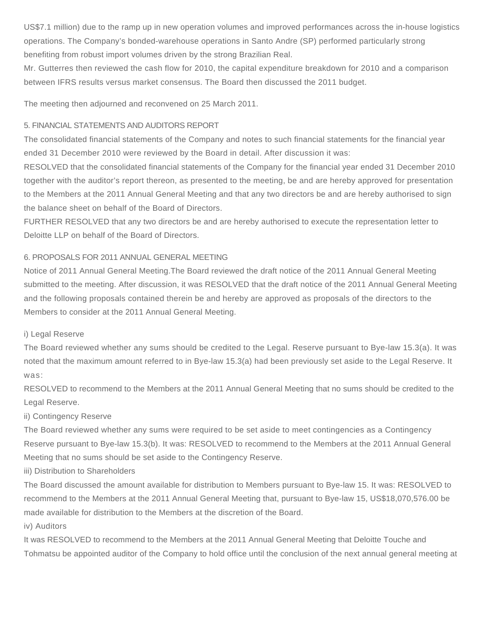US\$7.1 million) due to the ramp up in new operation volumes and improved performances across the in-house logistics operations. The Company's bonded-warehouse operations in Santo Andre (SP) performed particularly strong benefiting from robust import volumes driven by the strong Brazilian Real.

Mr. Gutterres then reviewed the cash flow for 2010, the capital expenditure breakdown for 2010 and a comparison between IFRS results versus market consensus. The Board then discussed the 2011 budget.

The meeting then adjourned and reconvened on 25 March 2011.

# 5. FINANCIAL STATEMENTS AND AUDITORS REPORT

The consolidated financial statements of the Company and notes to such financial statements for the financial year ended 31 December 2010 were reviewed by the Board in detail. After discussion it was:

RESOLVED that the consolidated financial statements of the Company for the financial year ended 31 December 2010 together with the auditor's report thereon, as presented to the meeting, be and are hereby approved for presentation to the Members at the 2011 Annual General Meeting and that any two directors be and are hereby authorised to sign the balance sheet on behalf of the Board of Directors.

FURTHER RESOLVED that any two directors be and are hereby authorised to execute the representation letter to Deloitte LLP on behalf of the Board of Directors.

# 6. PROPOSALS FOR 2011 ANNUAL GENERAL MEETING

Notice of 2011 Annual General Meeting.The Board reviewed the draft notice of the 2011 Annual General Meeting submitted to the meeting. After discussion, it was RESOLVED that the draft notice of the 2011 Annual General Meeting and the following proposals contained therein be and hereby are approved as proposals of the directors to the Members to consider at the 2011 Annual General Meeting.

# i) Legal Reserve

The Board reviewed whether any sums should be credited to the Legal. Reserve pursuant to Bye-law 15.3(a). It was noted that the maximum amount referred to in Bye-law 15.3(a) had been previously set aside to the Legal Reserve. It was:

RESOLVED to recommend to the Members at the 2011 Annual General Meeting that no sums should be credited to the Legal Reserve.

# ii) Contingency Reserve

The Board reviewed whether any sums were required to be set aside to meet contingencies as a Contingency Reserve pursuant to Bye-law 15.3(b). It was: RESOLVED to recommend to the Members at the 2011 Annual General Meeting that no sums should be set aside to the Contingency Reserve.

iii) Distribution to Shareholders

The Board discussed the amount available for distribution to Members pursuant to Bye-law 15. It was: RESOLVED to recommend to the Members at the 2011 Annual General Meeting that, pursuant to Bye-law 15, US\$18,070,576.00 be made available for distribution to the Members at the discretion of the Board.

iv) Auditors

It was RESOLVED to recommend to the Members at the 2011 Annual General Meeting that Deloitte Touche and Tohmatsu be appointed auditor of the Company to hold office until the conclusion of the next annual general meeting at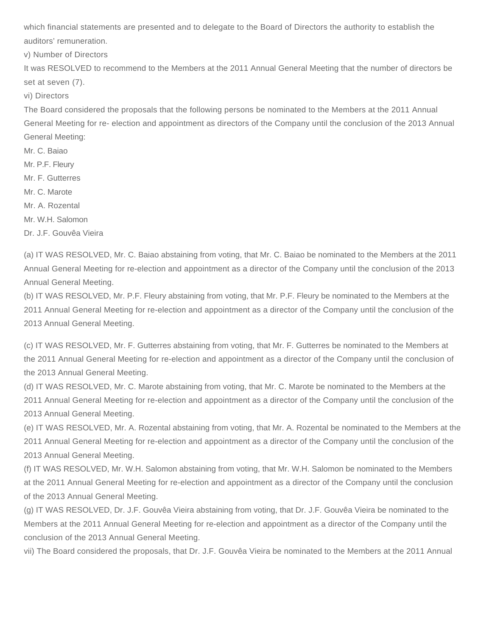which financial statements are presented and to delegate to the Board of Directors the authority to establish the auditors' remuneration.

v) Number of Directors

It was RESOLVED to recommend to the Members at the 2011 Annual General Meeting that the number of directors be set at seven (7).

vi) Directors

The Board considered the proposals that the following persons be nominated to the Members at the 2011 Annual General Meeting for re- election and appointment as directors of the Company until the conclusion of the 2013 Annual General Meeting:

Mr. C. Baiao

Mr. P.F. Fleury

Mr. F. Gutterres

Mr. C. Marote

Mr. A. Rozental

Mr. W.H. Salomon

Dr. J.F. Gouvêa Vieira

(a) IT WAS RESOLVED, Mr. C. Baiao abstaining from voting, that Mr. C. Baiao be nominated to the Members at the 2011 Annual General Meeting for re-election and appointment as a director of the Company until the conclusion of the 2013 Annual General Meeting.

(b) IT WAS RESOLVED, Mr. P.F. Fleury abstaining from voting, that Mr. P.F. Fleury be nominated to the Members at the 2011 Annual General Meeting for re-election and appointment as a director of the Company until the conclusion of the 2013 Annual General Meeting.

(c) IT WAS RESOLVED, Mr. F. Gutterres abstaining from voting, that Mr. F. Gutterres be nominated to the Members at the 2011 Annual General Meeting for re-election and appointment as a director of the Company until the conclusion of the 2013 Annual General Meeting.

(d) IT WAS RESOLVED, Mr. C. Marote abstaining from voting, that Mr. C. Marote be nominated to the Members at the 2011 Annual General Meeting for re-election and appointment as a director of the Company until the conclusion of the 2013 Annual General Meeting.

(e) IT WAS RESOLVED, Mr. A. Rozental abstaining from voting, that Mr. A. Rozental be nominated to the Members at the 2011 Annual General Meeting for re-election and appointment as a director of the Company until the conclusion of the 2013 Annual General Meeting.

(f) IT WAS RESOLVED, Mr. W.H. Salomon abstaining from voting, that Mr. W.H. Salomon be nominated to the Members at the 2011 Annual General Meeting for re-election and appointment as a director of the Company until the conclusion of the 2013 Annual General Meeting.

(g) IT WAS RESOLVED, Dr. J.F. Gouvêa Vieira abstaining from voting, that Dr. J.F. Gouvêa Vieira be nominated to the Members at the 2011 Annual General Meeting for re-election and appointment as a director of the Company until the conclusion of the 2013 Annual General Meeting.

vii) The Board considered the proposals, that Dr. J.F. Gouvêa Vieira be nominated to the Members at the 2011 Annual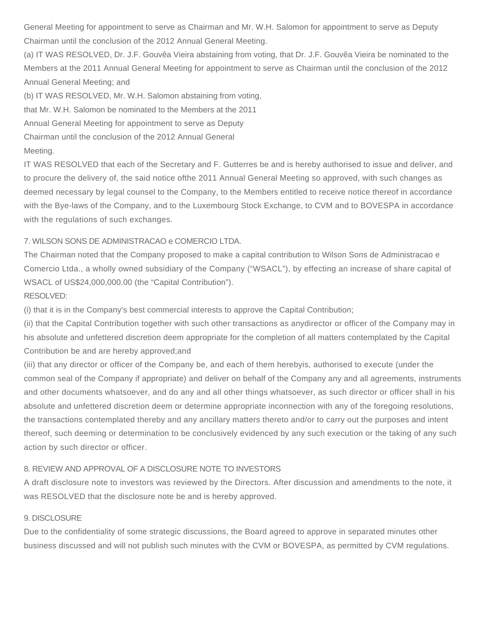General Meeting for appointment to serve as Chairman and Mr. W.H. Salomon for appointment to serve as Deputy Chairman until the conclusion of the 2012 Annual General Meeting.

(a) IT WAS RESOLVED, Dr. J.F. Gouvêa Vieira abstaining from voting, that Dr. J.F. Gouvêa Vieira be nominated to the Members at the 2011 Annual General Meeting for appointment to serve as Chairman until the conclusion of the 2012 Annual General Meeting; and

(b) IT WAS RESOLVED, Mr. W.H. Salomon abstaining from voting,

that Mr. W.H. Salomon be nominated to the Members at the 2011

Annual General Meeting for appointment to serve as Deputy

Chairman until the conclusion of the 2012 Annual General

# Meeting.

IT WAS RESOLVED that each of the Secretary and F. Gutterres be and is hereby authorised to issue and deliver, and to procure the delivery of, the said notice ofthe 2011 Annual General Meeting so approved, with such changes as deemed necessary by legal counsel to the Company, to the Members entitled to receive notice thereof in accordance with the Bye-laws of the Company, and to the Luxembourg Stock Exchange, to CVM and to BOVESPA in accordance with the regulations of such exchanges.

# 7. WILSON SONS DE ADMINISTRACAO e COMERCIO LTDA.

The Chairman noted that the Company proposed to make a capital contribution to Wilson Sons de Administracao e Comercio Ltda., a wholly owned subsidiary of the Company ("WSACL"), by effecting an increase of share capital of WSACL of US\$24,000,000.00 (the "Capital Contribution").

# RESOLVED:

(i) that it is in the Company's best commercial interests to approve the Capital Contribution;

(ii) that the Capital Contribution together with such other transactions as anydirector or officer of the Company may in his absolute and unfettered discretion deem appropriate for the completion of all matters contemplated by the Capital Contribution be and are hereby approved;and

(iii) that any director or officer of the Company be, and each of them herebyis, authorised to execute (under the common seal of the Company if appropriate) and deliver on behalf of the Company any and all agreements, instruments and other documents whatsoever, and do any and all other things whatsoever, as such director or officer shall in his absolute and unfettered discretion deem or determine appropriate inconnection with any of the foregoing resolutions, the transactions contemplated thereby and any ancillary matters thereto and/or to carry out the purposes and intent thereof, such deeming or determination to be conclusively evidenced by any such execution or the taking of any such action by such director or officer.

# 8. REVIEW AND APPROVAL OF A DISCLOSURE NOTE TO INVESTORS

A draft disclosure note to investors was reviewed by the Directors. After discussion and amendments to the note, it was RESOLVED that the disclosure note be and is hereby approved.

# 9. DISCLOSURE

Due to the confidentiality of some strategic discussions, the Board agreed to approve in separated minutes other business discussed and will not publish such minutes with the CVM or BOVESPA, as permitted by CVM regulations.